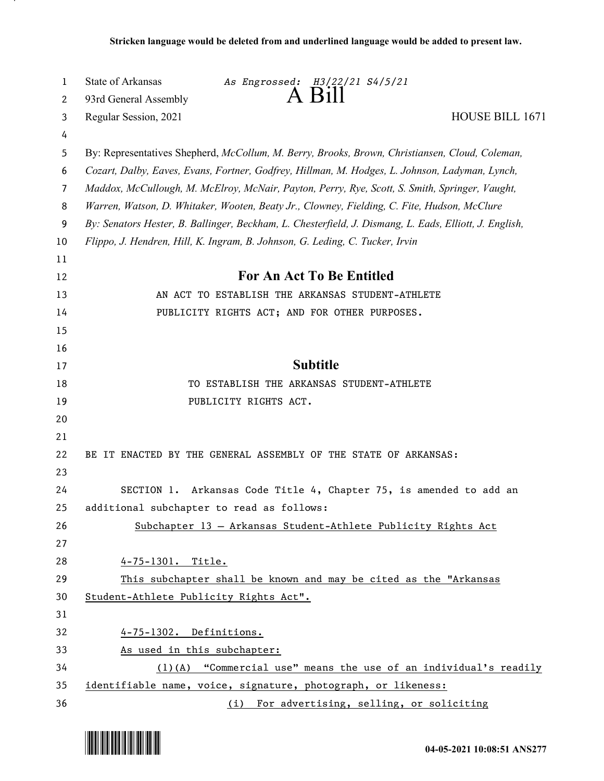| 1              | State of Arkansas<br>As Engrossed: H3/22/21 S4/5/21                                                    |  |
|----------------|--------------------------------------------------------------------------------------------------------|--|
| 2              | $A$ Bill<br>93rd General Assembly                                                                      |  |
| 3              | Regular Session, 2021<br>HOUSE BILL 1671                                                               |  |
| 4              |                                                                                                        |  |
| 5              | By: Representatives Shepherd, McCollum, M. Berry, Brooks, Brown, Christiansen, Cloud, Coleman,         |  |
| 6              | Cozart, Dalby, Eaves, Evans, Fortner, Godfrey, Hillman, M. Hodges, L. Johnson, Ladyman, Lynch,         |  |
| $\overline{7}$ | Maddox, McCullough, M. McElroy, McNair, Payton, Perry, Rye, Scott, S. Smith, Springer, Vaught,         |  |
| 8              | Warren, Watson, D. Whitaker, Wooten, Beaty Jr., Clowney, Fielding, C. Fite, Hudson, McClure            |  |
| 9              | By: Senators Hester, B. Ballinger, Beckham, L. Chesterfield, J. Dismang, L. Eads, Elliott, J. English, |  |
| 10             | Flippo, J. Hendren, Hill, K. Ingram, B. Johnson, G. Leding, C. Tucker, Irvin                           |  |
| 11             |                                                                                                        |  |
| 12             | <b>For An Act To Be Entitled</b>                                                                       |  |
| 13             | AN ACT TO ESTABLISH THE ARKANSAS STUDENT-ATHLETE                                                       |  |
| 14             | PUBLICITY RIGHTS ACT; AND FOR OTHER PURPOSES.                                                          |  |
| 15             |                                                                                                        |  |
| 16             |                                                                                                        |  |
| 17             | <b>Subtitle</b>                                                                                        |  |
| 18             | TO ESTABLISH THE ARKANSAS STUDENT-ATHLETE                                                              |  |
| 19             | PUBLICITY RIGHTS ACT.                                                                                  |  |
| 20             |                                                                                                        |  |
| 21             |                                                                                                        |  |
| 22             | BE IT ENACTED BY THE GENERAL ASSEMBLY OF THE STATE OF ARKANSAS:                                        |  |
| 23             |                                                                                                        |  |
| 24             | Arkansas Code Title 4, Chapter 75, is amended to add an<br>SECTION 1.                                  |  |
| 25             | additional subchapter to read as follows:                                                              |  |
| 26             | Subchapter 13 - Arkansas Student-Athlete Publicity Rights Act                                          |  |
| 27             |                                                                                                        |  |
| 28             | 4-75-1301. Title.                                                                                      |  |
| 29             | This subchapter shall be known and may be cited as the "Arkansas                                       |  |
| 30             | Student-Athlete Publicity Rights Act".                                                                 |  |
| 31             |                                                                                                        |  |
| 32             | 4-75-1302. Definitions.                                                                                |  |
| 33             | As used in this subchapter:                                                                            |  |
| 34             | $(1)$ (A) "Commercial use" means the use of an individual's readily                                    |  |
| 35             | identifiable name, voice, signature, photograph, or likeness:                                          |  |
| 36             | (i) For advertising, selling, or soliciting                                                            |  |

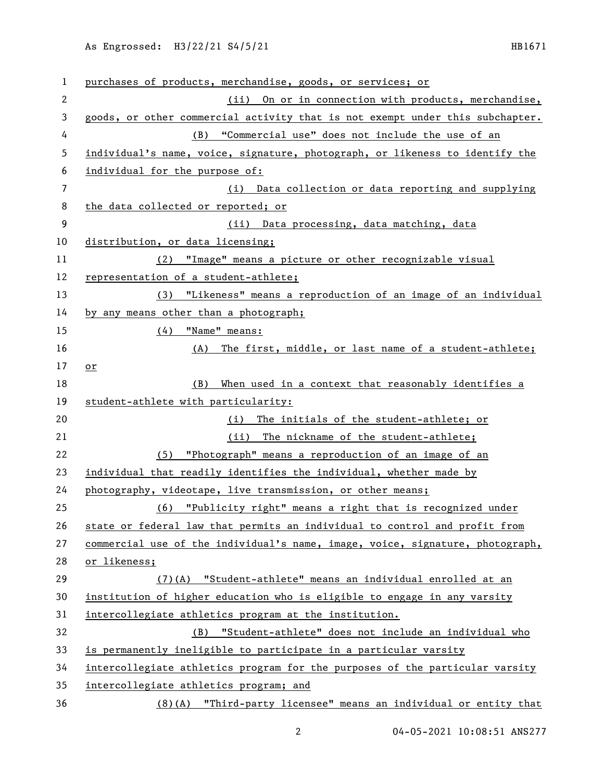As Engrossed: H3/22/21 S4/5/21 HB1671

| 1              | purchases of products, merchandise, goods, or services; or                    |
|----------------|-------------------------------------------------------------------------------|
| $\mathbf{2}$   | (ii) On or in connection with products, merchandise,                          |
| 3              | goods, or other commercial activity that is not exempt under this subchapter. |
| 4              | (B) "Commercial use" does not include the use of an                           |
| 5              | individual's name, voice, signature, photograph, or likeness to identify the  |
| 6              | individual for the purpose of:                                                |
| $\overline{7}$ | (i) Data collection or data reporting and supplying                           |
| 8              | the data collected or reported; or                                            |
| 9              | (ii) Data processing, data matching, data                                     |
| 10             | distribution, or data licensing;                                              |
| 11             | "Image" means a picture or other recognizable visual<br>(2)                   |
| 12             | representation of a student-athlete;                                          |
| 13             | "Likeness" means a reproduction of an image of an individual<br>(3)           |
| 14             | by any means other than a photograph;                                         |
| 15             | "Name" means:<br>(4)                                                          |
| 16             | (A) The first, middle, or last name of a student-athlete;                     |
| 17             | or                                                                            |
| 18             | When used in a context that reasonably identifies a<br>(B)                    |
| 19             | student-athlete with particularity:                                           |
| 20             | The initials of the student-athlete; or<br>(i)                                |
| 21             | The nickname of the student-athlete;<br>(ii)                                  |
| 22             | (5) "Photograph" means a reproduction of an image of an                       |
| 23             | individual that readily identifies the individual, whether made by            |
| 24             | photography, videotape, live transmission, or other means;                    |
| 25             | "Publicity right" means a right that is recognized under<br>(6)               |
| 26             | state or federal law that permits an individual to control and profit from    |
| 27             | commercial use of the individual's name, image, voice, signature, photograph, |
| 28             | or likeness;                                                                  |
| 29             | (7)(A) "Student-athlete" means an individual enrolled at an                   |
| 30             | institution of higher education who is eligible to engage in any varsity      |
| 31             | intercollegiate athletics program at the institution.                         |
| 32             | "Student-athlete" does not include an individual who<br>(B)                   |
| 33             | is permanently ineligible to participate in a particular varsity              |
| 34             | intercollegiate athletics program for the purposes of the particular varsity  |
| 35             | intercollegiate athletics program; and                                        |
| 36             | (8)(A) "Third-party licensee" means an individual or entity that              |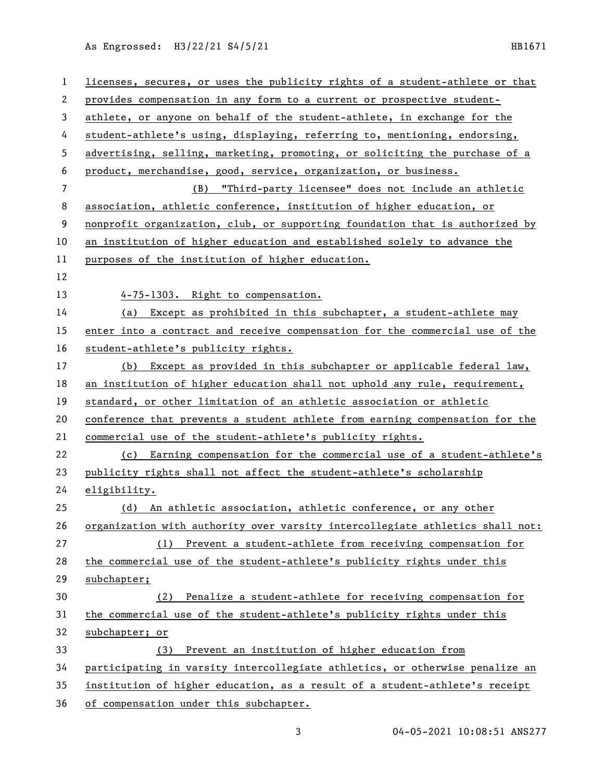As Engrossed: H3/22/21 S4/5/21 HB1671

| $\mathbf{1}$ | licenses, secures, or uses the publicity rights of a student-athlete or that  |
|--------------|-------------------------------------------------------------------------------|
| $\mathbf{2}$ | provides compensation in any form to a current or prospective student-        |
| 3            | athlete, or anyone on behalf of the student-athlete, in exchange for the      |
| 4            | student-athlete's using, displaying, referring to, mentioning, endorsing,     |
| 5            | advertising, selling, marketing, promoting, or soliciting the purchase of a   |
| 6            | product, merchandise, good, service, organization, or business.               |
| 7            | (B) "Third-party licensee" does not include an athletic                       |
| 8            | association, athletic conference, institution of higher education, or         |
| 9            | nonprofit organization, club, or supporting foundation that is authorized by  |
| 10           | an institution of higher education and established solely to advance the      |
| 11           | purposes of the institution of higher education.                              |
| 12           |                                                                               |
| 13           | 4-75-1303. Right to compensation.                                             |
| 14           | Except as prohibited in this subchapter, a student-athlete may<br>(a)         |
| 15           | enter into a contract and receive compensation for the commercial use of the  |
| 16           | student-athlete's publicity rights.                                           |
| 17           | (b) Except as provided in this subchapter or applicable federal law,          |
| 18           | an institution of higher education shall not uphold any rule, requirement,    |
| 19           | standard, or other limitation of an athletic association or athletic          |
| 20           | conference that prevents a student athlete from earning compensation for the  |
| 21           | commercial use of the student-athlete's publicity rights.                     |
| 22           | (c) Earning compensation for the commercial use of a student-athlete's        |
| 23           | publicity rights shall not affect the student-athlete's scholarship           |
| 24           | eligibility.                                                                  |
| 25           | (d) An athletic association, athletic conference, or any other                |
| 26           | organization with authority over varsity intercollegiate athletics shall not: |
| 27           | (1) Prevent a student-athlete from receiving compensation for                 |
| 28           | the commercial use of the student-athlete's publicity rights under this       |
| 29           | subchapter;                                                                   |
| 30           | Penalize a student-athlete for receiving compensation for<br>(2)              |
| 31           | the commercial use of the student-athlete's publicity rights under this       |
| 32           | subchapter; or                                                                |
| 33           | Prevent an institution of higher education from<br>(3)                        |
| 34           | participating in varsity intercollegiate athletics, or otherwise penalize an  |
| 35           | institution of higher education, as a result of a student-athlete's receipt   |
| 36           | of compensation under this subchapter.                                        |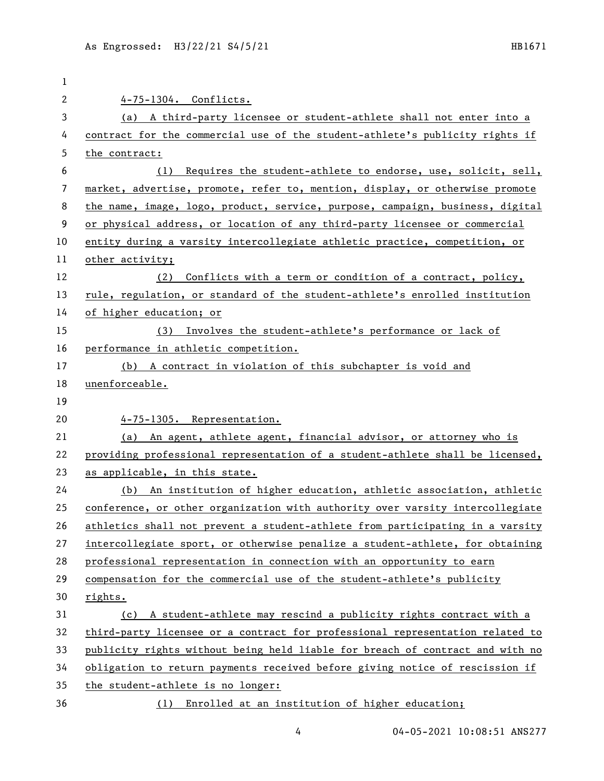| 1  |                                                                               |
|----|-------------------------------------------------------------------------------|
| 2  | 4-75-1304. Conflicts.                                                         |
| 3  | (a) A third-party licensee or student-athlete shall not enter into a          |
| 4  | contract for the commercial use of the student-athlete's publicity rights if  |
| 5  | the contract:                                                                 |
| 6  | Requires the student-athlete to endorse, use, solicit, sell,<br>(1)           |
| 7  | market, advertise, promote, refer to, mention, display, or otherwise promote  |
| 8  | the name, image, logo, product, service, purpose, campaign, business, digital |
| 9  | or physical address, or location of any third-party licensee or commercial    |
| 10 | entity during a varsity intercollegiate athletic practice, competition, or    |
| 11 | other activity;                                                               |
| 12 | Conflicts with a term or condition of a contract, policy,<br>(2)              |
| 13 | rule, regulation, or standard of the student-athlete's enrolled institution   |
| 14 | of higher education; or                                                       |
| 15 | (3) Involves the student-athlete's performance or lack of                     |
| 16 | performance in athletic competition.                                          |
| 17 | (b) A contract in violation of this subchapter is void and                    |
| 18 | unenforceable.                                                                |
| 19 |                                                                               |
| 20 | 4-75-1305. Representation.                                                    |
| 21 | (a) An agent, athlete agent, financial advisor, or attorney who is            |
| 22 | providing professional representation of a student-athlete shall be licensed, |
| 23 | as applicable, in this state.                                                 |
| 24 | (b) An institution of higher education, athletic association, athletic        |
| 25 | conference, or other organization with authority over varsity intercollegiate |
| 26 | athletics shall not prevent a student-athlete from participating in a varsity |
| 27 | intercollegiate sport, or otherwise penalize a student-athlete, for obtaining |
| 28 | professional representation in connection with an opportunity to earn         |
| 29 | compensation for the commercial use of the student-athlete's publicity        |
| 30 | rights.                                                                       |
| 31 | (c) A student-athlete may rescind a publicity rights contract with a          |
| 32 | third-party licensee or a contract for professional representation related to |
| 33 | publicity rights without being held liable for breach of contract and with no |
| 34 | obligation to return payments received before giving notice of rescission if  |
| 35 | the student-athlete is no longer:                                             |
| 36 | (1) Enrolled at an institution of higher education;                           |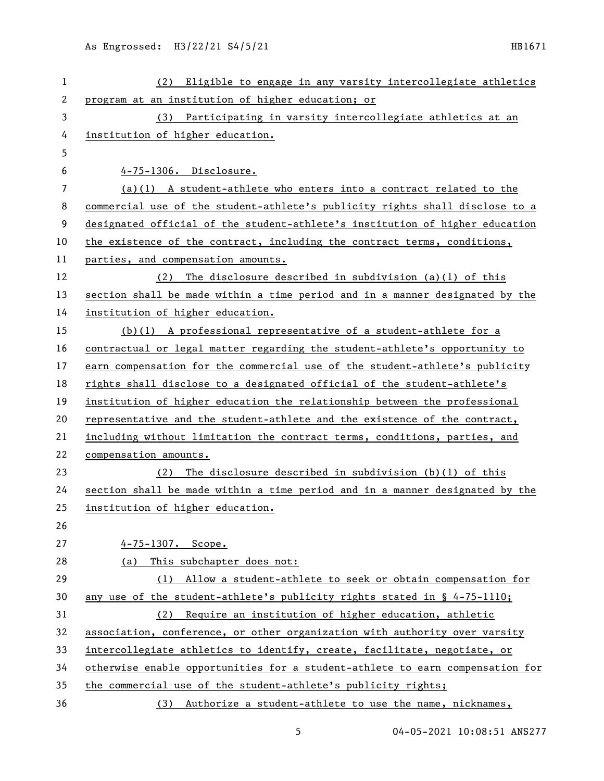| 1  | Eligible to engage in any varsity intercollegiate athletics<br>(2)            |
|----|-------------------------------------------------------------------------------|
| 2  | program at an institution of higher education; or                             |
| 3  | (3) Participating in varsity intercollegiate athletics at an                  |
| 4  | institution of higher education.                                              |
| 5  |                                                                               |
| 6  | 4-75-1306. Disclosure.                                                        |
| 7  | $(a)(1)$ A student-athlete who enters into a contract related to the          |
| 8  | commercial use of the student-athlete's publicity rights shall disclose to a  |
| 9  | designated official of the student-athlete's institution of higher education  |
| 10 | the existence of the contract, including the contract terms, conditions,      |
| 11 | parties, and compensation amounts.                                            |
| 12 | The disclosure described in subdivision (a)(1) of this<br>(2)                 |
| 13 | section shall be made within a time period and in a manner designated by the  |
| 14 | institution of higher education.                                              |
| 15 | $(b)(1)$ A professional representative of a student-athlete for a             |
| 16 | contractual or legal matter regarding the student-athlete's opportunity to    |
| 17 | earn compensation for the commercial use of the student-athlete's publicity   |
| 18 | rights shall disclose to a designated official of the student-athlete's       |
| 19 | institution of higher education the relationship between the professional     |
| 20 | representative and the student-athlete and the existence of the contract,     |
| 21 | including without limitation the contract terms, conditions, parties, and     |
| 22 | compensation amounts.                                                         |
| 23 | The disclosure described in subdivision (b)(1) of this<br>(2)                 |
| 24 | section shall be made within a time period and in a manner designated by the  |
| 25 | institution of higher education.                                              |
| 26 |                                                                               |
| 27 | $4 - 75 - 1307$ . Scope.                                                      |
| 28 | (a) This subchapter does not:                                                 |
| 29 | (1) Allow a student-athlete to seek or obtain compensation for                |
| 30 | any use of the student-athlete's publicity rights stated in $\S$ 4-75-1110;   |
| 31 | (2) Require an institution of higher education, athletic                      |
| 32 | association, conference, or other organization with authority over varsity    |
| 33 | intercollegiate athletics to identify, create, facilitate, negotiate, or      |
| 34 | otherwise enable opportunities for a student-athlete to earn compensation for |
| 35 | the commercial use of the student-athlete's publicity rights;                 |
| 36 | (3) Authorize a student-athlete to use the name, nicknames,                   |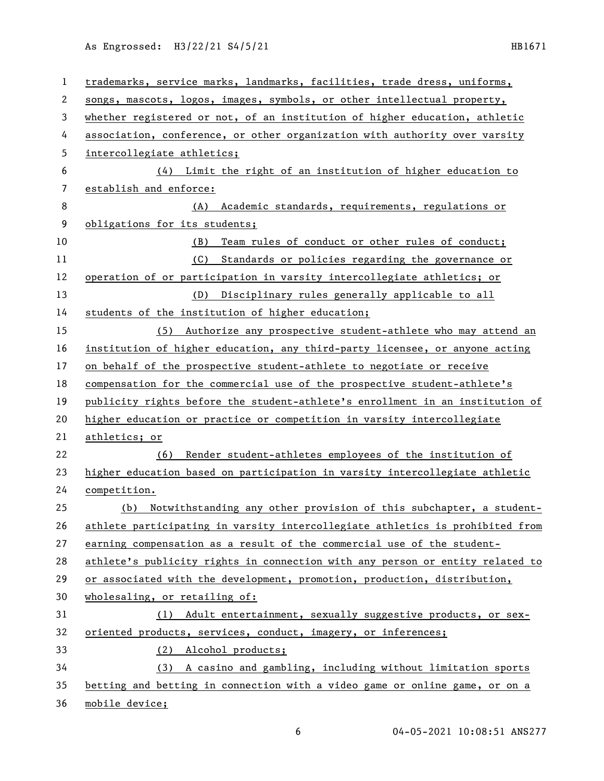As Engrossed: H3/22/21 S4/5/21 HB1671

| $\mathbf{1}$ | trademarks, service marks, landmarks, facilities, trade dress, uniforms,      |
|--------------|-------------------------------------------------------------------------------|
| 2            | songs, mascots, logos, images, symbols, or other intellectual property,       |
| 3            | whether registered or not, of an institution of higher education, athletic    |
| 4            | association, conference, or other organization with authority over varsity    |
| 5            | intercollegiate athletics;                                                    |
| 6            | (4) Limit the right of an institution of higher education to                  |
| 7            | establish and enforce:                                                        |
| 8            | (A) Academic standards, requirements, regulations or                          |
| 9            | obligations for its students;                                                 |
| 10           | Team rules of conduct or other rules of conduct;<br>(B)                       |
| 11           | Standards or policies regarding the governance or<br>(C)                      |
| 12           | operation of or participation in varsity intercollegiate athletics; or        |
| 13           | (D) Disciplinary rules generally applicable to all                            |
| 14           | students of the institution of higher education;                              |
| 15           | (5) Authorize any prospective student-athlete who may attend an               |
| 16           | institution of higher education, any third-party licensee, or anyone acting   |
| 17           | on behalf of the prospective student-athlete to negotiate or receive          |
| 18           | compensation for the commercial use of the prospective student-athlete's      |
| 19           | publicity rights before the student-athlete's enrollment in an institution of |
| 20           | higher education or practice or competition in varsity intercollegiate        |
| 21           | athletics; or                                                                 |
| 22           | Render student-athletes employees of the institution of<br>(6)                |
| 23           | higher education based on participation in varsity intercollegiate athletic   |
| 24           | competition.                                                                  |
| 25           | (b) Notwithstanding any other provision of this subchapter, a student-        |
| 26           | athlete participating in varsity intercollegiate athletics is prohibited from |
| 27           | earning compensation as a result of the commercial use of the student-        |
| 28           | athlete's publicity rights in connection with any person or entity related to |
| 29           | or associated with the development, promotion, production, distribution,      |
| 30           | wholesaling, or retailing of:                                                 |
| 31           | (1) Adult entertainment, sexually suggestive products, or sex-                |
| 32           | oriented products, services, conduct, imagery, or inferences;                 |
| 33           | (2) Alcohol products;                                                         |
| 34           | (3) A casino and gambling, including without limitation sports                |
| 35           | betting and betting in connection with a video game or online game, or on a   |
| 36           | mobile device;                                                                |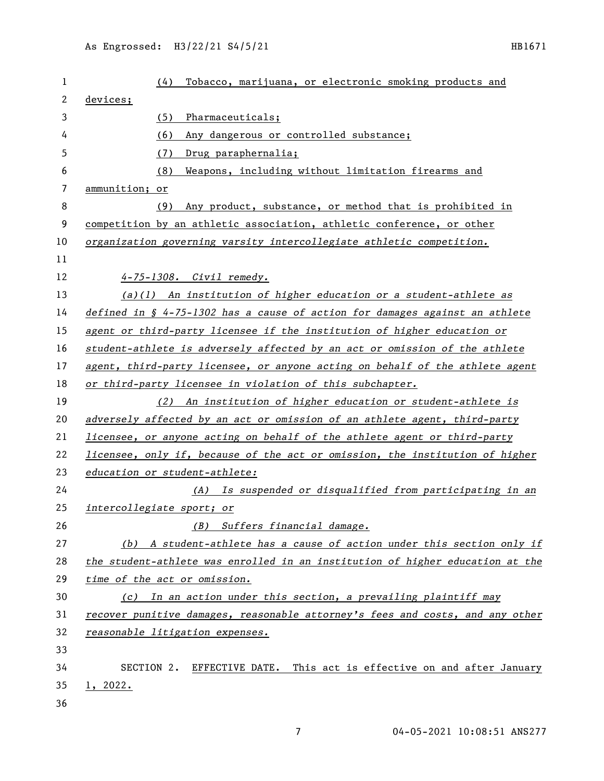| 1  | Tobacco, marijuana, or electronic smoking products and<br>(4)                           |
|----|-----------------------------------------------------------------------------------------|
| 2  | devices;                                                                                |
| 3  | (5)<br>Pharmaceuticals;                                                                 |
| 4  | Any dangerous or controlled substance;<br>(6)                                           |
| 5  | Drug paraphernalia;<br>(7)                                                              |
| 6  | Weapons, including without limitation firearms and<br>(8)                               |
| 7  | ammunition; or                                                                          |
| 8  | Any product, substance, or method that is prohibited in<br>(9)                          |
| 9  | competition by an athletic association, athletic conference, or other                   |
| 10 | organization governing varsity intercollegiate athletic competition.                    |
| 11 |                                                                                         |
| 12 | 4-75-1308. Civil remedy.                                                                |
| 13 | $(a)(1)$ An institution of higher education or a student-athlete as                     |
| 14 | defined in $\frac{6}{7}$ 4-75-1302 has a cause of action for damages against an athlete |
| 15 | agent or third-party licensee if the institution of higher education or                 |
| 16 | student-athlete is adversely affected by an act or omission of the athlete              |
| 17 | agent, third-party licensee, or anyone acting on behalf of the athlete agent            |
| 18 | or third-party licensee in violation of this subchapter.                                |
| 19 | (2) An institution of higher education or student-athlete is                            |
| 20 | adversely affected by an act or omission of an athlete agent, third-party               |
| 21 | licensee, or anyone acting on behalf of the athlete agent or third-party                |
| 22 | licensee, only if, because of the act or omission, the institution of higher            |
| 23 | education or student-athlete:                                                           |
| 24 | (A) Is suspended or disqualified from participating in an                               |
| 25 | intercollegiate sport; or                                                               |
| 26 | Suffers financial damage.<br>(B)                                                        |
| 27 | (b) A student-athlete has a cause of action under this section only if                  |
| 28 | the student-athlete was enrolled in an institution of higher education at the           |
| 29 | time of the act or omission.                                                            |
| 30 | (c) In an action under this section, a prevailing plaintiff may                         |
| 31 | recover punitive damages, reasonable attorney's fees and costs, and any other           |
| 32 | reasonable litigation expenses.                                                         |
| 33 |                                                                                         |
| 34 | SECTION 2. EFFECTIVE DATE. This act is effective on and after January                   |
| 35 | 1, 2022.                                                                                |
| 36 |                                                                                         |